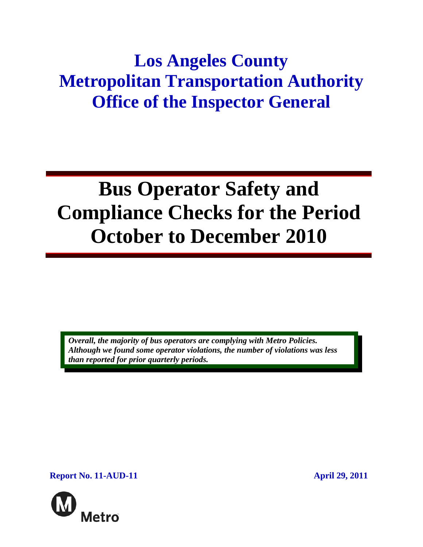## **Los Angeles County Metropolitan Transportation Authority Office of the Inspector General**

# **Bus Operator Safety and Compliance Checks for the Period October to December 2010**

*Overall, the majority of bus operators are complying with Metro Policies. Although we found some operator violations, the number of violations was less than reported for prior quarterly periods.* 

**Report No. 11-AUD-11 April 29, 2011** 

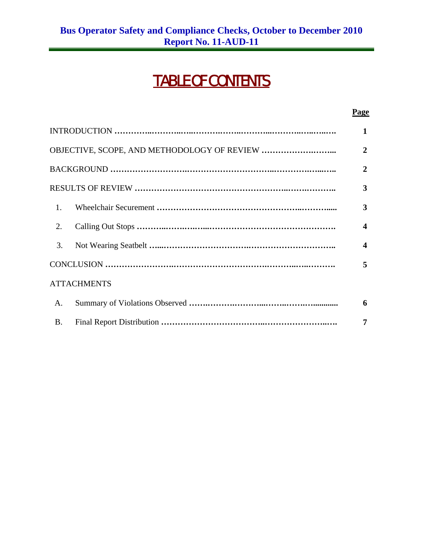## TABLE OF CONTENTS

|                    | 2 |                  |  |
|--------------------|---|------------------|--|
|                    |   | 2                |  |
|                    |   |                  |  |
| $\mathbf{1}$ .     |   | 3                |  |
| 2.                 |   | $\boldsymbol{4}$ |  |
| 3.                 |   | $\boldsymbol{4}$ |  |
|                    |   |                  |  |
| <b>ATTACHMENTS</b> |   |                  |  |
| A.                 |   | 6                |  |
| <b>B.</b>          |   | 7                |  |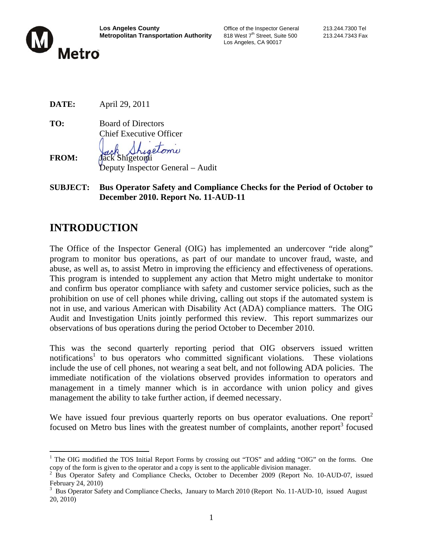

Los Angeles, CA 90017

**DATE:** April 29, 2011

**TO:** Board of Directors Chief Executive Officer

**FROM:** Jack Shigetomi Deputy Inspector General – Audit

**SUBJECT: Bus Operator Safety and Compliance Checks for the Period of October to December 2010. Report No. 11-AUD-11**

## **INTRODUCTION**

 $\overline{a}$ 

The Office of the Inspector General (OIG) has implemented an undercover "ride along" program to monitor bus operations, as part of our mandate to uncover fraud, waste, and abuse, as well as, to assist Metro in improving the efficiency and effectiveness of operations. This program is intended to supplement any action that Metro might undertake to monitor and confirm bus operator compliance with safety and customer service policies, such as the prohibition on use of cell phones while driving, calling out stops if the automated system is not in use, and various American with Disability Act (ADA) compliance matters. The OIG Audit and Investigation Units jointly performed this review. This report summarizes our observations of bus operations during the period October to December 2010.

This was the second quarterly reporting period that OIG observers issued written notifications<sup>1</sup> to bus operators who committed significant violations. These violations include the use of cell phones, not wearing a seat belt, and not following ADA policies. The immediate notification of the violations observed provides information to operators and management in a timely manner which is in accordance with union policy and gives management the ability to take further action, if deemed necessary.

We have issued four previous quarterly reports on bus operator evaluations. One report<sup>2</sup> focused on Metro bus lines with the greatest number of complaints, another report<sup>3</sup> focused

<sup>&</sup>lt;sup>1</sup> The OIG modified the TOS Initial Report Forms by crossing out "TOS" and adding "OIG" on the forms. One copy of the form is given to the operator and a copy is sent to the applicable division manager.

<sup>&</sup>lt;sup>2</sup> Bus Operator Safety and Compliance Checks, October to December 2009 (Report No. 10-AUD-07, issued February 24, 2010)

<sup>&</sup>lt;sup>3</sup> Bus Operator Safety and Compliance Checks, January to March 2010 (Report No. 11-AUD-10, issued August 20, 2010)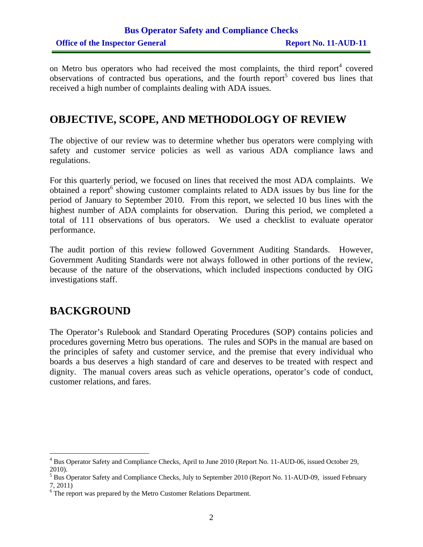#### **Bus Operator Safety and Compliance Checks Office of the Inspector General Report No. 11-AUD-11**

on Metro bus operators who had received the most complaints, the third report<sup>4</sup> covered observations of contracted bus operations, and the fourth report<sup>5</sup> covered bus lines that received a high number of complaints dealing with ADA issues.

#### **OBJECTIVE, SCOPE, AND METHODOLOGY OF REVIEW**

The objective of our review was to determine whether bus operators were complying with safety and customer service policies as well as various ADA compliance laws and regulations.

For this quarterly period, we focused on lines that received the most ADA complaints. We obtained a report  $6$  showing customer complaints related to ADA issues by bus line for the period of January to September 2010. From this report, we selected 10 bus lines with the highest number of ADA complaints for observation. During this period, we completed a total of 111 observations of bus operators. We used a checklist to evaluate operator performance.

The audit portion of this review followed Government Auditing Standards. However, Government Auditing Standards were not always followed in other portions of the review, because of the nature of the observations, which included inspections conducted by OIG investigations staff.

#### **BACKGROUND**

The Operator's Rulebook and Standard Operating Procedures (SOP) contains policies and procedures governing Metro bus operations. The rules and SOPs in the manual are based on the principles of safety and customer service, and the premise that every individual who boards a bus deserves a high standard of care and deserves to be treated with respect and dignity. The manual covers areas such as vehicle operations, operator's code of conduct, customer relations, and fares.

<sup>&</sup>lt;sup>4</sup> Bus Operator Safety and Compliance Checks, April to June 2010 (Report No. 11-AUD-06, issued October 29, 2010).

<sup>&</sup>lt;sup>5</sup> Bus Operator Safety and Compliance Checks, July to September 2010 (Report No. 11-AUD-09, issued February 7, 2011)

 $6$  The report was prepared by the Metro Customer Relations Department.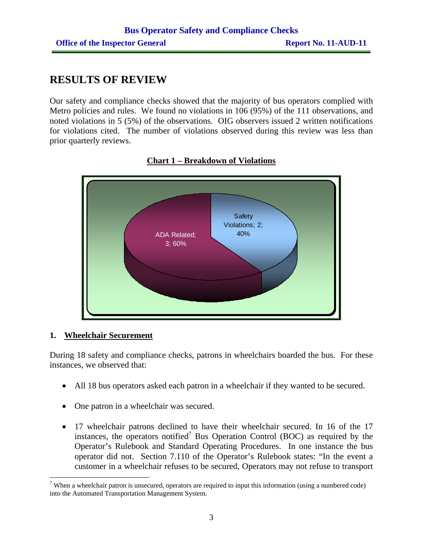## **RESULTS OF REVIEW**

Our safety and compliance checks showed that the majority of bus operators complied with Metro policies and rules. We found no violations in 106 (95%) of the 111 observations, and noted violations in 5 (5%) of the observations. OIG observers issued 2 written notifications for violations cited. The number of violations observed during this review was less than prior quarterly reviews.





#### **1. Wheelchair Securement**

During 18 safety and compliance checks, patrons in wheelchairs boarded the bus. For these instances, we observed that:

- All 18 bus operators asked each patron in a wheelchair if they wanted to be secured.
- One patron in a wheelchair was secured.
- 17 wheelchair patrons declined to have their wheelchair secured. In 16 of the 17 instances, the operators notified<sup>7</sup> Bus Operation Control (BOC) as required by the Operator's Rulebook and Standard Operating Procedures. In one instance the bus operator did not. Section 7.110 of the Operator's Rulebook states: "In the event a customer in a wheelchair refuses to be secured, Operators may not refuse to transport

<sup>&</sup>lt;sup>7</sup> When a wheelchair patron is unsecured, operators are required to input this information (using a numbered code) into the Automated Transportation Management System.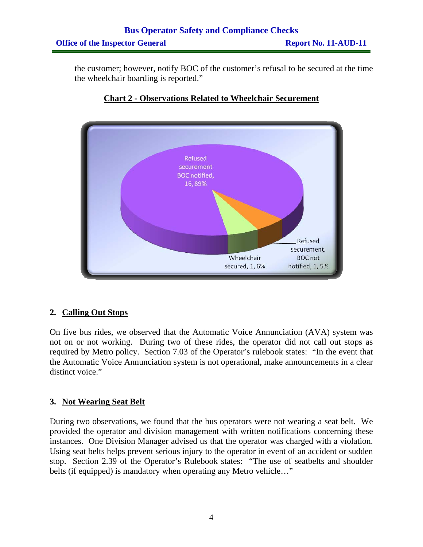## **Bus Operator Safety and Compliance Checks Office of the Inspector General Report No. 11-AUD-11**

the customer; however, notify BOC of the customer's refusal to be secured at the time the wheelchair boarding is reported."



#### **Chart 2 - Observations Related to Wheelchair Securement**

#### **2. Calling Out Stops**

On five bus rides, we observed that the Automatic Voice Annunciation (AVA) system was not on or not working. During two of these rides, the operator did not call out stops as required by Metro policy. Section 7.03 of the Operator's rulebook states: "In the event that the Automatic Voice Annunciation system is not operational, make announcements in a clear distinct voice."

#### **3. Not Wearing Seat Belt**

During two observations, we found that the bus operators were not wearing a seat belt. We provided the operator and division management with written notifications concerning these instances. One Division Manager advised us that the operator was charged with a violation. Using seat belts helps prevent serious injury to the operator in event of an accident or sudden stop. Section 2.39 of the Operator's Rulebook states: "The use of seatbelts and shoulder belts (if equipped) is mandatory when operating any Metro vehicle..."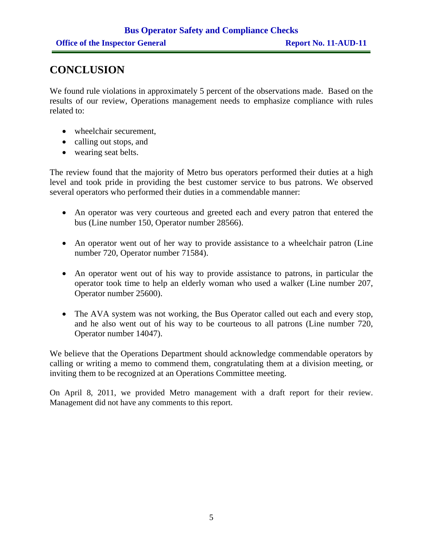### **CONCLUSION**

We found rule violations in approximately 5 percent of the observations made. Based on the results of our review, Operations management needs to emphasize compliance with rules related to:

- wheelchair securement,
- calling out stops, and
- wearing seat belts.

The review found that the majority of Metro bus operators performed their duties at a high level and took pride in providing the best customer service to bus patrons. We observed several operators who performed their duties in a commendable manner:

- An operator was very courteous and greeted each and every patron that entered the bus (Line number 150, Operator number 28566).
- An operator went out of her way to provide assistance to a wheelchair patron (Line number 720, Operator number 71584).
- An operator went out of his way to provide assistance to patrons, in particular the operator took time to help an elderly woman who used a walker (Line number 207, Operator number 25600).
- The AVA system was not working, the Bus Operator called out each and every stop, and he also went out of his way to be courteous to all patrons (Line number 720, Operator number 14047).

We believe that the Operations Department should acknowledge commendable operators by calling or writing a memo to commend them, congratulating them at a division meeting, or inviting them to be recognized at an Operations Committee meeting.

On April 8, 2011, we provided Metro management with a draft report for their review. Management did not have any comments to this report.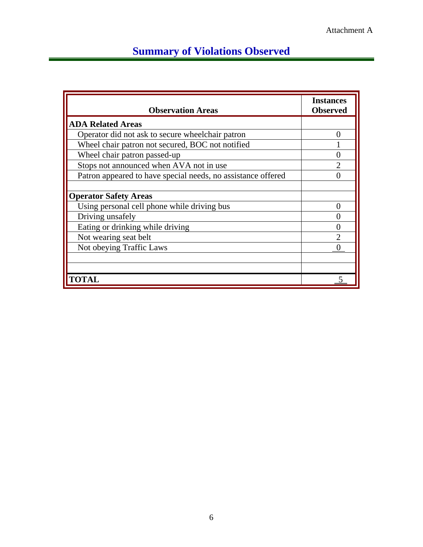## **Summary of Violations Observed**

| <b>Observation Areas</b>                                     | <b>Instances</b><br><b>Observed</b> |
|--------------------------------------------------------------|-------------------------------------|
| <b>ADA Related Areas</b>                                     |                                     |
| Operator did not ask to secure wheelchair patron             |                                     |
| Wheel chair patron not secured, BOC not notified             |                                     |
| Wheel chair patron passed-up                                 |                                     |
| Stops not announced when AVA not in use                      | $\overline{2}$                      |
| Patron appeared to have special needs, no assistance offered |                                     |
| <b>Operator Safety Areas</b>                                 |                                     |
| Using personal cell phone while driving bus                  | 0                                   |
| Driving unsafely                                             |                                     |
| Eating or drinking while driving                             | 0                                   |
| Not wearing seat belt                                        |                                     |
| Not obeying Traffic Laws                                     |                                     |
|                                                              |                                     |
| <b>TOTAI</b>                                                 |                                     |